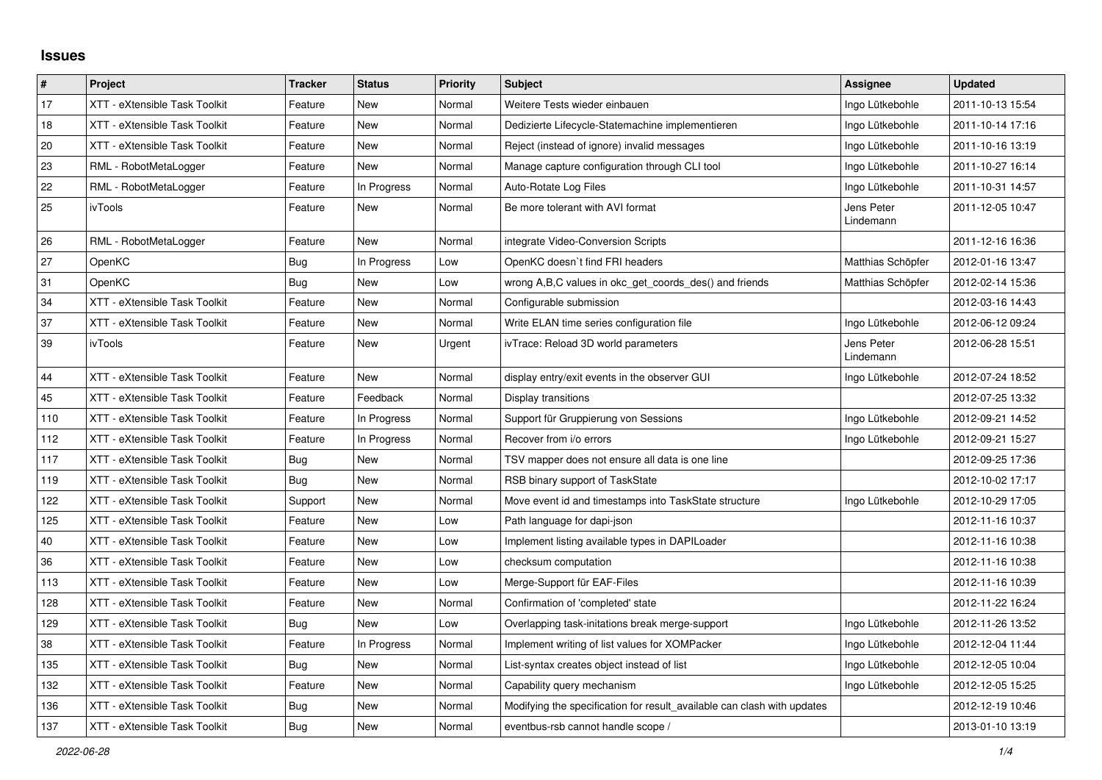## **Issues**

| #   | Project                       | <b>Tracker</b> | <b>Status</b> | <b>Priority</b> | <b>Subject</b>                                                          | Assignee                | <b>Updated</b>   |
|-----|-------------------------------|----------------|---------------|-----------------|-------------------------------------------------------------------------|-------------------------|------------------|
| 17  | XTT - eXtensible Task Toolkit | Feature        | New           | Normal          | Weitere Tests wieder einbauen                                           | Ingo Lütkebohle         | 2011-10-13 15:54 |
| 18  | XTT - eXtensible Task Toolkit | Feature        | New           | Normal          | Dedizierte Lifecycle-Statemachine implementieren                        | Ingo Lütkebohle         | 2011-10-14 17:16 |
| 20  | XTT - eXtensible Task Toolkit | Feature        | New           | Normal          | Reject (instead of ignore) invalid messages                             | Ingo Lütkebohle         | 2011-10-16 13:19 |
| 23  | RML - RobotMetaLogger         | Feature        | <b>New</b>    | Normal          | Manage capture configuration through CLI tool                           | Ingo Lütkebohle         | 2011-10-27 16:14 |
| 22  | RML - RobotMetaLogger         | Feature        | In Progress   | Normal          | Auto-Rotate Log Files                                                   | Ingo Lütkebohle         | 2011-10-31 14:57 |
| 25  | ivTools                       | Feature        | <b>New</b>    | Normal          | Be more tolerant with AVI format                                        | Jens Peter<br>Lindemann | 2011-12-05 10:47 |
| 26  | RML - RobotMetaLogger         | Feature        | <b>New</b>    | Normal          | integrate Video-Conversion Scripts                                      |                         | 2011-12-16 16:36 |
| 27  | OpenKC                        | Bug            | In Progress   | Low             | OpenKC doesn't find FRI headers                                         | Matthias Schöpfer       | 2012-01-16 13:47 |
| 31  | OpenKC                        | Bug            | <b>New</b>    | Low             | wrong A,B,C values in okc_get_coords_des() and friends                  | Matthias Schöpfer       | 2012-02-14 15:36 |
| 34  | XTT - eXtensible Task Toolkit | Feature        | <b>New</b>    | Normal          | Configurable submission                                                 |                         | 2012-03-16 14:43 |
| 37  | XTT - eXtensible Task Toolkit | Feature        | New           | Normal          | Write ELAN time series configuration file                               | Ingo Lütkebohle         | 2012-06-12 09:24 |
| 39  | ivTools                       | Feature        | New           | Urgent          | ivTrace: Reload 3D world parameters                                     | Jens Peter<br>Lindemann | 2012-06-28 15:51 |
| 44  | XTT - eXtensible Task Toolkit | Feature        | New           | Normal          | display entry/exit events in the observer GUI                           | Ingo Lütkebohle         | 2012-07-24 18:52 |
| 45  | XTT - eXtensible Task Toolkit | Feature        | Feedback      | Normal          | Display transitions                                                     |                         | 2012-07-25 13:32 |
| 110 | XTT - eXtensible Task Toolkit | Feature        | In Progress   | Normal          | Support für Gruppierung von Sessions                                    | Ingo Lütkebohle         | 2012-09-21 14:52 |
| 112 | XTT - eXtensible Task Toolkit | Feature        | In Progress   | Normal          | Recover from i/o errors                                                 | Ingo Lütkebohle         | 2012-09-21 15:27 |
| 117 | XTT - eXtensible Task Toolkit | Bug            | <b>New</b>    | Normal          | TSV mapper does not ensure all data is one line                         |                         | 2012-09-25 17:36 |
| 119 | XTT - eXtensible Task Toolkit | Bug            | New           | Normal          | RSB binary support of TaskState                                         |                         | 2012-10-02 17:17 |
| 122 | XTT - eXtensible Task Toolkit | Support        | <b>New</b>    | Normal          | Move event id and timestamps into TaskState structure                   | Ingo Lütkebohle         | 2012-10-29 17:05 |
| 125 | XTT - eXtensible Task Toolkit | Feature        | New           | Low             | Path language for dapi-json                                             |                         | 2012-11-16 10:37 |
| 40  | XTT - eXtensible Task Toolkit | Feature        | New           | Low             | Implement listing available types in DAPILoader                         |                         | 2012-11-16 10:38 |
| 36  | XTT - eXtensible Task Toolkit | Feature        | <b>New</b>    | Low             | checksum computation                                                    |                         | 2012-11-16 10:38 |
| 113 | XTT - eXtensible Task Toolkit | Feature        | New           | Low             | Merge-Support für EAF-Files                                             |                         | 2012-11-16 10:39 |
| 128 | XTT - eXtensible Task Toolkit | Feature        | New           | Normal          | Confirmation of 'completed' state                                       |                         | 2012-11-22 16:24 |
| 129 | XTT - eXtensible Task Toolkit | Bug            | New           | Low             | Overlapping task-initations break merge-support                         | Ingo Lütkebohle         | 2012-11-26 13:52 |
| 38  | XTT - eXtensible Task Toolkit | Feature        | In Progress   | Normal          | Implement writing of list values for XOMPacker                          | Ingo Lütkebohle         | 2012-12-04 11:44 |
| 135 | XTT - eXtensible Task Toolkit | Bug            | New           | Normal          | List-syntax creates object instead of list                              | Ingo Lütkebohle         | 2012-12-05 10:04 |
| 132 | XTT - eXtensible Task Toolkit | Feature        | New           | Normal          | Capability query mechanism                                              | Ingo Lütkebohle         | 2012-12-05 15:25 |
| 136 | XTT - eXtensible Task Toolkit | Bug            | New           | Normal          | Modifying the specification for result available can clash with updates |                         | 2012-12-19 10:46 |
| 137 | XTT - eXtensible Task Toolkit | <b>Bug</b>     | New           | Normal          | eventbus-rsb cannot handle scope /                                      |                         | 2013-01-10 13:19 |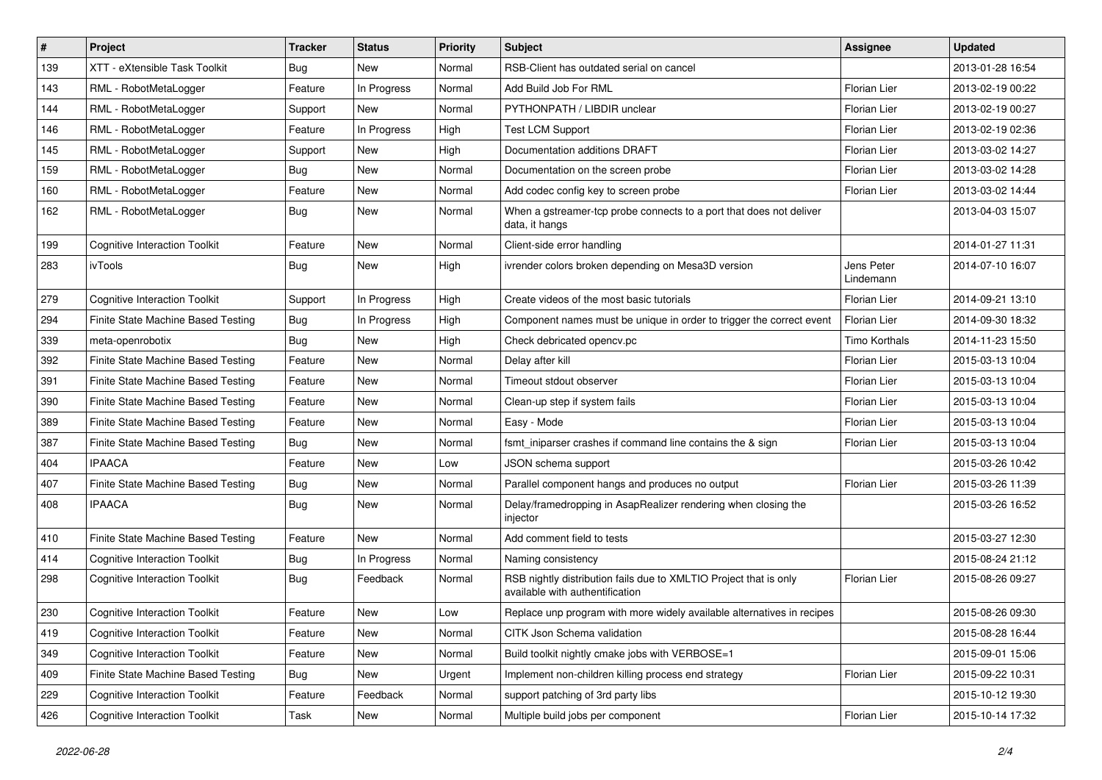| #   | Project                              | <b>Tracker</b> | <b>Status</b> | <b>Priority</b> | <b>Subject</b>                                                                                       | <b>Assignee</b>         | <b>Updated</b>   |
|-----|--------------------------------------|----------------|---------------|-----------------|------------------------------------------------------------------------------------------------------|-------------------------|------------------|
| 139 | XTT - eXtensible Task Toolkit        | Bug            | New           | Normal          | RSB-Client has outdated serial on cancel                                                             |                         | 2013-01-28 16:54 |
| 143 | RML - RobotMetaLogger                | Feature        | In Progress   | Normal          | Add Build Job For RML                                                                                | <b>Florian Lier</b>     | 2013-02-19 00:22 |
| 144 | RML - RobotMetaLogger                | Support        | New           | Normal          | PYTHONPATH / LIBDIR unclear                                                                          | Florian Lier            | 2013-02-19 00:27 |
| 146 | RML - RobotMetaLogger                | Feature        | In Progress   | High            | <b>Test LCM Support</b>                                                                              | <b>Florian Lier</b>     | 2013-02-19 02:36 |
| 145 | RML - RobotMetaLogger                | Support        | <b>New</b>    | High            | Documentation additions DRAFT                                                                        | <b>Florian Lier</b>     | 2013-03-02 14:27 |
| 159 | RML - RobotMetaLogger                | Bug            | New           | Normal          | Documentation on the screen probe                                                                    | <b>Florian Lier</b>     | 2013-03-02 14:28 |
| 160 | RML - RobotMetaLogger                | Feature        | New           | Normal          | Add codec config key to screen probe                                                                 | Florian Lier            | 2013-03-02 14:44 |
| 162 | RML - RobotMetaLogger                | Bug            | New           | Normal          | When a gstreamer-tcp probe connects to a port that does not deliver<br>data, it hangs                |                         | 2013-04-03 15:07 |
| 199 | <b>Cognitive Interaction Toolkit</b> | Feature        | <b>New</b>    | Normal          | Client-side error handling                                                                           |                         | 2014-01-27 11:31 |
| 283 | ivTools                              | Bug            | New           | High            | ivrender colors broken depending on Mesa3D version                                                   | Jens Peter<br>Lindemann | 2014-07-10 16:07 |
| 279 | <b>Cognitive Interaction Toolkit</b> | Support        | In Progress   | High            | Create videos of the most basic tutorials                                                            | <b>Florian Lier</b>     | 2014-09-21 13:10 |
| 294 | Finite State Machine Based Testing   | Bug            | In Progress   | High            | Component names must be unique in order to trigger the correct event                                 | <b>Florian Lier</b>     | 2014-09-30 18:32 |
| 339 | meta-openrobotix                     | Bug            | <b>New</b>    | High            | Check debricated opency.pc                                                                           | <b>Timo Korthals</b>    | 2014-11-23 15:50 |
| 392 | Finite State Machine Based Testing   | Feature        | <b>New</b>    | Normal          | Delay after kill                                                                                     | <b>Florian Lier</b>     | 2015-03-13 10:04 |
| 391 | Finite State Machine Based Testing   | Feature        | <b>New</b>    | Normal          | Timeout stdout observer                                                                              | <b>Florian Lier</b>     | 2015-03-13 10:04 |
| 390 | Finite State Machine Based Testing   | Feature        | <b>New</b>    | Normal          | Clean-up step if system fails                                                                        | <b>Florian Lier</b>     | 2015-03-13 10:04 |
| 389 | Finite State Machine Based Testing   | Feature        | New           | Normal          | Easy - Mode                                                                                          | <b>Florian Lier</b>     | 2015-03-13 10:04 |
| 387 | Finite State Machine Based Testing   | Bug            | <b>New</b>    | Normal          | fsmt_iniparser crashes if command line contains the & sign                                           | <b>Florian Lier</b>     | 2015-03-13 10:04 |
| 404 | <b>IPAACA</b>                        | Feature        | <b>New</b>    | Low             | JSON schema support                                                                                  |                         | 2015-03-26 10:42 |
| 407 | Finite State Machine Based Testing   | Bug            | New           | Normal          | Parallel component hangs and produces no output                                                      | <b>Florian Lier</b>     | 2015-03-26 11:39 |
| 408 | <b>IPAACA</b>                        | Bug            | New           | Normal          | Delay/framedropping in AsapRealizer rendering when closing the<br>injector                           |                         | 2015-03-26 16:52 |
| 410 | Finite State Machine Based Testing   | Feature        | <b>New</b>    | Normal          | Add comment field to tests                                                                           |                         | 2015-03-27 12:30 |
| 414 | <b>Cognitive Interaction Toolkit</b> | Bug            | In Progress   | Normal          | Naming consistency                                                                                   |                         | 2015-08-24 21:12 |
| 298 | <b>Cognitive Interaction Toolkit</b> | Bug            | Feedback      | Normal          | RSB nightly distribution fails due to XMLTIO Project that is only<br>available with authentification | Florian Lier            | 2015-08-26 09:27 |
| 230 | <b>Cognitive Interaction Toolkit</b> | Feature        | <b>New</b>    | Low             | Replace unp program with more widely available alternatives in recipes                               |                         | 2015-08-26 09:30 |
| 419 | <b>Cognitive Interaction Toolkit</b> | Feature        | New           | Normal          | CITK Json Schema validation                                                                          |                         | 2015-08-28 16:44 |
| 349 | <b>Cognitive Interaction Toolkit</b> | Feature        | New           | Normal          | Build toolkit nightly cmake jobs with VERBOSE=1                                                      |                         | 2015-09-01 15:06 |
| 409 | Finite State Machine Based Testing   | Bug            | New           | Urgent          | Implement non-children killing process end strategy                                                  | Florian Lier            | 2015-09-22 10:31 |
| 229 | <b>Cognitive Interaction Toolkit</b> | Feature        | Feedback      | Normal          | support patching of 3rd party libs                                                                   |                         | 2015-10-12 19:30 |
| 426 | <b>Cognitive Interaction Toolkit</b> | Task           | New           | Normal          | Multiple build jobs per component                                                                    | Florian Lier            | 2015-10-14 17:32 |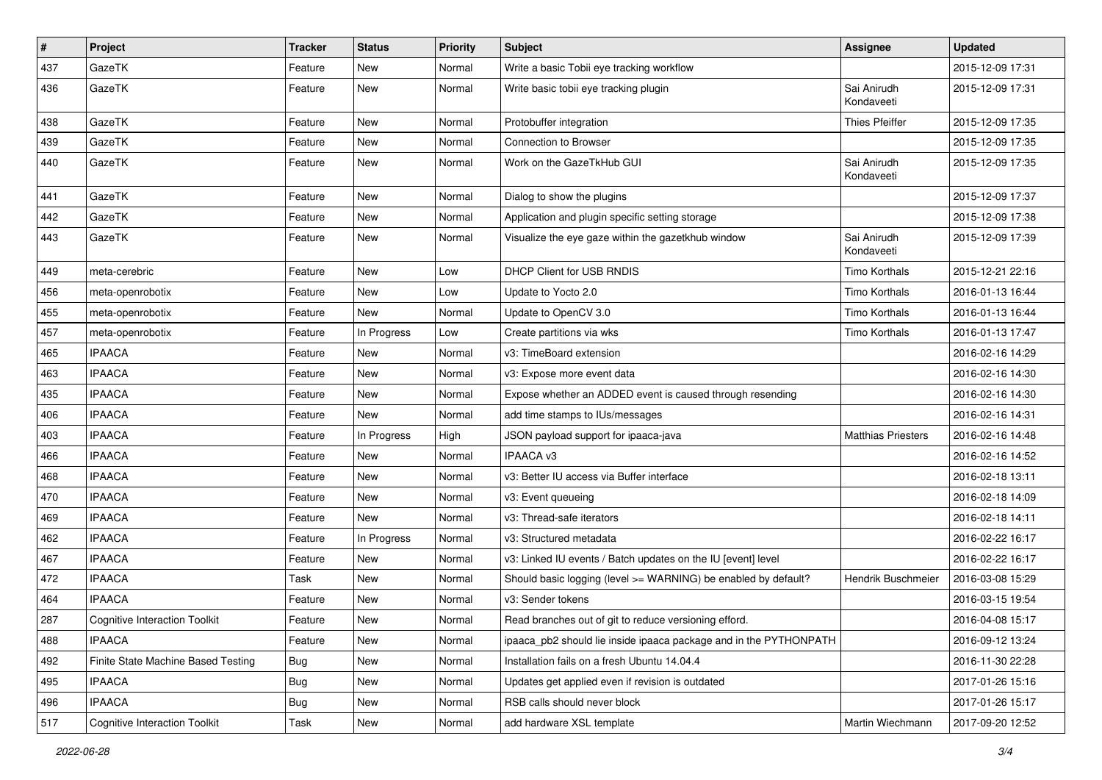| $\#$ | Project                              | <b>Tracker</b> | <b>Status</b> | <b>Priority</b> | Subject                                                           | Assignee                  | <b>Updated</b>   |
|------|--------------------------------------|----------------|---------------|-----------------|-------------------------------------------------------------------|---------------------------|------------------|
| 437  | GazeTK                               | Feature        | New           | Normal          | Write a basic Tobii eye tracking workflow                         |                           | 2015-12-09 17:31 |
| 436  | GazeTK                               | Feature        | <b>New</b>    | Normal          | Write basic tobii eye tracking plugin                             | Sai Anirudh<br>Kondaveeti | 2015-12-09 17:31 |
| 438  | GazeTK                               | Feature        | <b>New</b>    | Normal          | Protobuffer integration                                           | <b>Thies Pfeiffer</b>     | 2015-12-09 17:35 |
| 439  | GazeTK                               | Feature        | <b>New</b>    | Normal          | Connection to Browser                                             |                           | 2015-12-09 17:35 |
| 440  | GazeTK                               | Feature        | New           | Normal          | Work on the GazeTkHub GUI                                         | Sai Anirudh<br>Kondaveeti | 2015-12-09 17:35 |
| 441  | GazeTK                               | Feature        | <b>New</b>    | Normal          | Dialog to show the plugins                                        |                           | 2015-12-09 17:37 |
| 442  | GazeTK                               | Feature        | New           | Normal          | Application and plugin specific setting storage                   |                           | 2015-12-09 17:38 |
| 443  | GazeTK                               | Feature        | New           | Normal          | Visualize the eye gaze within the gazetkhub window                | Sai Anirudh<br>Kondaveeti | 2015-12-09 17:39 |
| 449  | meta-cerebric                        | Feature        | <b>New</b>    | Low             | DHCP Client for USB RNDIS                                         | <b>Timo Korthals</b>      | 2015-12-21 22:16 |
| 456  | meta-openrobotix                     | Feature        | <b>New</b>    | Low             | Update to Yocto 2.0                                               | Timo Korthals             | 2016-01-13 16:44 |
| 455  | meta-openrobotix                     | Feature        | <b>New</b>    | Normal          | Update to OpenCV 3.0                                              | <b>Timo Korthals</b>      | 2016-01-13 16:44 |
| 457  | meta-openrobotix                     | Feature        | In Progress   | Low             | Create partitions via wks                                         | Timo Korthals             | 2016-01-13 17:47 |
| 465  | <b>IPAACA</b>                        | Feature        | <b>New</b>    | Normal          | v3: TimeBoard extension                                           |                           | 2016-02-16 14:29 |
| 463  | <b>IPAACA</b>                        | Feature        | <b>New</b>    | Normal          | v3: Expose more event data                                        |                           | 2016-02-16 14:30 |
| 435  | <b>IPAACA</b>                        | Feature        | <b>New</b>    | Normal          | Expose whether an ADDED event is caused through resending         |                           | 2016-02-16 14:30 |
| 406  | <b>IPAACA</b>                        | Feature        | <b>New</b>    | Normal          | add time stamps to IUs/messages                                   |                           | 2016-02-16 14:31 |
| 403  | <b>IPAACA</b>                        | Feature        | In Progress   | High            | JSON payload support for ipaaca-java                              | <b>Matthias Priesters</b> | 2016-02-16 14:48 |
| 466  | <b>IPAACA</b>                        | Feature        | <b>New</b>    | Normal          | <b>IPAACA v3</b>                                                  |                           | 2016-02-16 14:52 |
| 468  | <b>IPAACA</b>                        | Feature        | New           | Normal          | v3: Better IU access via Buffer interface                         |                           | 2016-02-18 13:11 |
| 470  | <b>IPAACA</b>                        | Feature        | <b>New</b>    | Normal          | v3: Event queueing                                                |                           | 2016-02-18 14:09 |
| 469  | <b>IPAACA</b>                        | Feature        | New           | Normal          | v3: Thread-safe iterators                                         |                           | 2016-02-18 14:11 |
| 462  | <b>IPAACA</b>                        | Feature        | In Progress   | Normal          | v3: Structured metadata                                           |                           | 2016-02-22 16:17 |
| 467  | <b>IPAACA</b>                        | Feature        | New           | Normal          | v3: Linked IU events / Batch updates on the IU [event] level      |                           | 2016-02-22 16:17 |
| 472  | <b>IPAACA</b>                        | Task           | New           | Normal          | Should basic logging (level >= WARNING) be enabled by default?    | Hendrik Buschmeier        | 2016-03-08 15:29 |
| 464  | <b>IPAACA</b>                        | Feature        | <b>New</b>    | Normal          | v3: Sender tokens                                                 |                           | 2016-03-15 19:54 |
| 287  | <b>Cognitive Interaction Toolkit</b> | Feature        | New           | Normal          | Read branches out of git to reduce versioning efford.             |                           | 2016-04-08 15:17 |
| 488  | <b>IPAACA</b>                        | Feature        | New           | Normal          | ipaaca_pb2 should lie inside ipaaca package and in the PYTHONPATH |                           | 2016-09-12 13:24 |
| 492  | Finite State Machine Based Testing   | Bug            | New           | Normal          | Installation fails on a fresh Ubuntu 14.04.4                      |                           | 2016-11-30 22:28 |
| 495  | <b>IPAACA</b>                        | <b>Bug</b>     | New           | Normal          | Updates get applied even if revision is outdated                  |                           | 2017-01-26 15:16 |
| 496  | <b>IPAACA</b>                        | Bug            | New           | Normal          | RSB calls should never block                                      |                           | 2017-01-26 15:17 |
| 517  | <b>Cognitive Interaction Toolkit</b> | Task           | New           | Normal          | add hardware XSL template                                         | Martin Wiechmann          | 2017-09-20 12:52 |